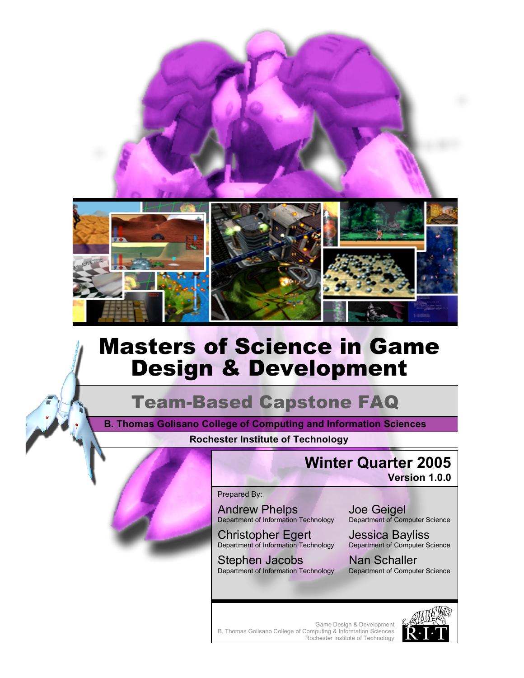

# Masters of Science in Game Design & Development

# Team-Based Capstone FAQ

**Rochester Institute of Technology B. Thomas Golisano College of Computing and Information Sciences**

# **Winter Quarter 2005**

**Version 1.0.0**

#### Prepared By:

Andrew Phelps Department of Information Technology

Christopher Egert Department of Information Technology

Stephen Jacobs Department of Information Technology Joe Geigel Department of Computer Science

Jessica Bayliss Department of Computer Science

Nan Schaller Department of Computer Science

Game Design & Development B. Thomas Golisano College of Computing & Information Sciences Rochester Institute of Technology

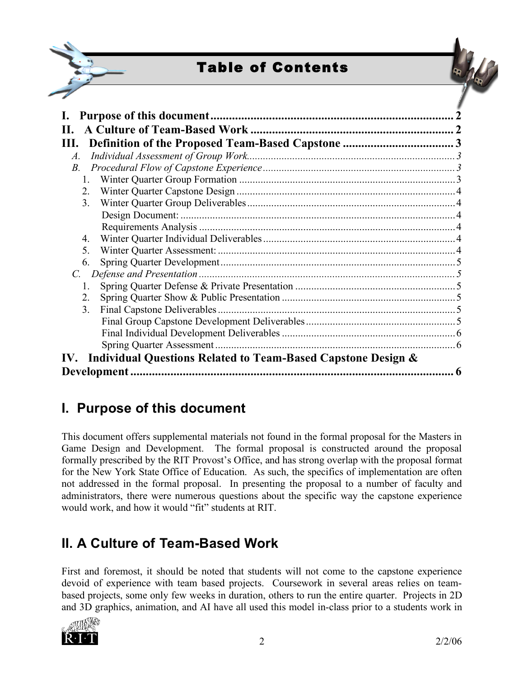

# Table of Contents



| Н.                                                                  |  |
|---------------------------------------------------------------------|--|
| Ш.                                                                  |  |
| $\mathcal{A}.$                                                      |  |
| $B$ .                                                               |  |
|                                                                     |  |
| 2.                                                                  |  |
| 3.                                                                  |  |
|                                                                     |  |
|                                                                     |  |
| 4.                                                                  |  |
| 5 <sub>1</sub>                                                      |  |
| 6.                                                                  |  |
| Defense and Presentation                                            |  |
| 1.                                                                  |  |
| 2.                                                                  |  |
| 3 <sub>1</sub>                                                      |  |
|                                                                     |  |
|                                                                     |  |
| Spring Quarter Assessment                                           |  |
| Individual Questions Related to Team-Based Capstone Design &<br>IV. |  |
|                                                                     |  |

# **I. Purpose of this document**

This document offers supplemental materials not found in the formal proposal for the Masters in Game Design and Development. The formal proposal is constructed around the proposal formally prescribed by the RIT Provost's Office, and has strong overlap with the proposal format for the New York State Office of Education. As such, the specifics of implementation are often not addressed in the formal proposal. In presenting the proposal to a number of faculty and administrators, there were numerous questions about the specific way the capstone experience would work, and how it would "fit" students at RIT.

# **II. A Culture of Team-Based Work**

First and foremost, it should be noted that students will not come to the capstone experience devoid of experience with team based projects. Coursework in several areas relies on teambased projects, some only few weeks in duration, others to run the entire quarter. Projects in 2D and 3D graphics, animation, and AI have all used this model in-class prior to a students work in

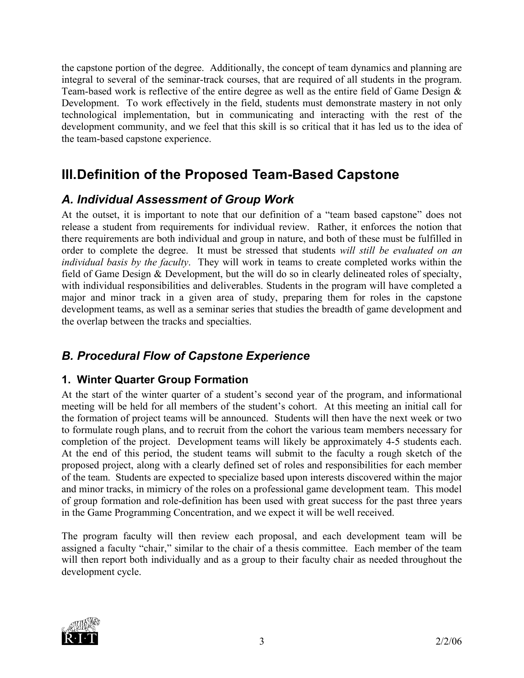the capstone portion of the degree. Additionally, the concept of team dynamics and planning are integral to several of the seminar-track courses, that are required of all students in the program. Team-based work is reflective of the entire degree as well as the entire field of Game Design & Development. To work effectively in the field, students must demonstrate mastery in not only technological implementation, but in communicating and interacting with the rest of the development community, and we feel that this skill is so critical that it has led us to the idea of the team-based capstone experience.

## **III.Definition of the Proposed Team-Based Capstone**

## *A. Individual Assessment of Group Work*

At the outset, it is important to note that our definition of a "team based capstone" does not release a student from requirements for individual review. Rather, it enforces the notion that there requirements are both individual and group in nature, and both of these must be fulfilled in order to complete the degree. It must be stressed that students *will still be evaluated on an individual basis by the faculty*. They will work in teams to create completed works within the field of Game Design & Development, but the will do so in clearly delineated roles of specialty, with individual responsibilities and deliverables. Students in the program will have completed a major and minor track in a given area of study, preparing them for roles in the capstone development teams, as well as a seminar series that studies the breadth of game development and the overlap between the tracks and specialties.

## *B. Procedural Flow of Capstone Experience*

### **1. Winter Quarter Group Formation**

At the start of the winter quarter of a student's second year of the program, and informational meeting will be held for all members of the student's cohort. At this meeting an initial call for the formation of project teams will be announced. Students will then have the next week or two to formulate rough plans, and to recruit from the cohort the various team members necessary for completion of the project. Development teams will likely be approximately 4-5 students each. At the end of this period, the student teams will submit to the faculty a rough sketch of the proposed project, along with a clearly defined set of roles and responsibilities for each member of the team. Students are expected to specialize based upon interests discovered within the major and minor tracks, in mimicry of the roles on a professional game development team. This model of group formation and role-definition has been used with great success for the past three years in the Game Programming Concentration, and we expect it will be well received.

The program faculty will then review each proposal, and each development team will be assigned a faculty "chair," similar to the chair of a thesis committee. Each member of the team will then report both individually and as a group to their faculty chair as needed throughout the development cycle.

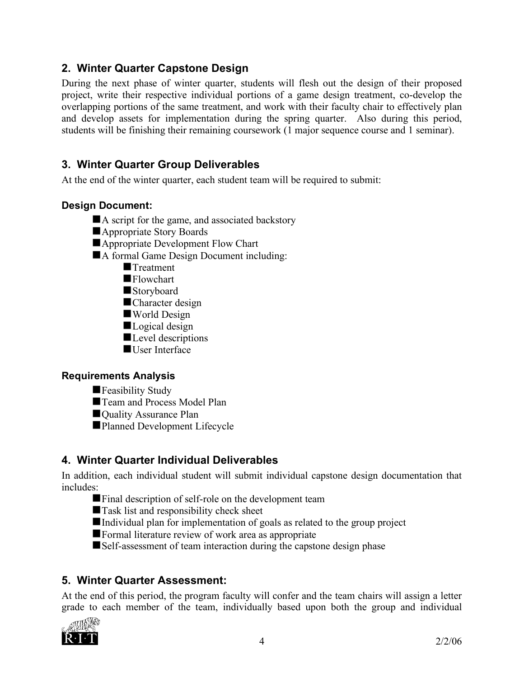#### **2. Winter Quarter Capstone Design**

During the next phase of winter quarter, students will flesh out the design of their proposed project, write their respective individual portions of a game design treatment, co-develop the overlapping portions of the same treatment, and work with their faculty chair to effectively plan and develop assets for implementation during the spring quarter. Also during this period, students will be finishing their remaining coursework (1 major sequence course and 1 seminar).

### **3. Winter Quarter Group Deliverables**

At the end of the winter quarter, each student team will be required to submit:

#### **Design Document:**

- A script for the game, and associated backstory
- **Appropriate Story Boards**
- Appropriate Development Flow Chart
- A formal Game Design Document including:
	- **Treatment**
	- **Flowchart**
	- **Storyboard**
	- Character design
	- World Design
	- Logical design
	- Level descriptions
	- User Interface

#### **Requirements Analysis**

- **Feasibility Study**
- Team and Process Model Plan
- Quality Assurance Plan
- Planned Development Lifecycle

### **4. Winter Quarter Individual Deliverables**

In addition, each individual student will submit individual capstone design documentation that includes:

- Final description of self-role on the development team
- ■Task list and responsibility check sheet
- Individual plan for implementation of goals as related to the group project
- **Formal literature review of work area as appropriate**
- Self-assessment of team interaction during the capstone design phase

### **5. Winter Quarter Assessment:**

At the end of this period, the program faculty will confer and the team chairs will assign a letter grade to each member of the team, individually based upon both the group and individual

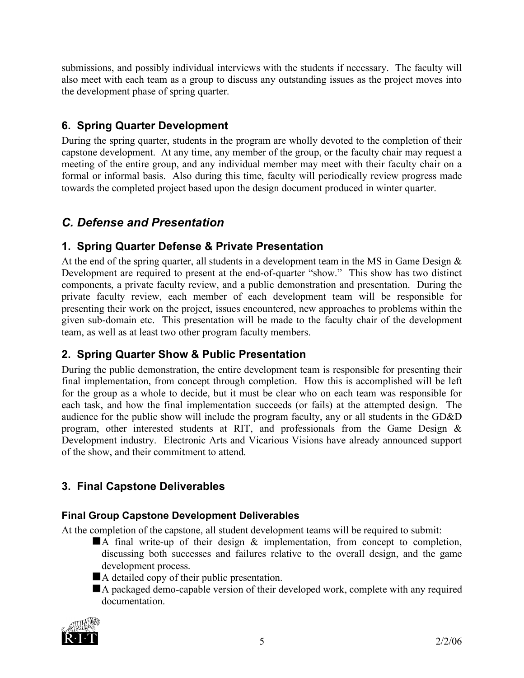submissions, and possibly individual interviews with the students if necessary. The faculty will also meet with each team as a group to discuss any outstanding issues as the project moves into the development phase of spring quarter.

### **6. Spring Quarter Development**

During the spring quarter, students in the program are wholly devoted to the completion of their capstone development. At any time, any member of the group, or the faculty chair may request a meeting of the entire group, and any individual member may meet with their faculty chair on a formal or informal basis. Also during this time, faculty will periodically review progress made towards the completed project based upon the design document produced in winter quarter.

### *C. Defense and Presentation*

#### **1. Spring Quarter Defense & Private Presentation**

At the end of the spring quarter, all students in a development team in the MS in Game Design  $\&$ Development are required to present at the end-of-quarter "show." This show has two distinct components, a private faculty review, and a public demonstration and presentation. During the private faculty review, each member of each development team will be responsible for presenting their work on the project, issues encountered, new approaches to problems within the given sub-domain etc. This presentation will be made to the faculty chair of the development team, as well as at least two other program faculty members.

### **2. Spring Quarter Show & Public Presentation**

During the public demonstration, the entire development team is responsible for presenting their final implementation, from concept through completion. How this is accomplished will be left for the group as a whole to decide, but it must be clear who on each team was responsible for each task, and how the final implementation succeeds (or fails) at the attempted design. The audience for the public show will include the program faculty, any or all students in the GD&D program, other interested students at RIT, and professionals from the Game Design & Development industry. Electronic Arts and Vicarious Visions have already announced support of the show, and their commitment to attend.

### **3. Final Capstone Deliverables**

#### **Final Group Capstone Development Deliverables**

At the completion of the capstone, all student development teams will be required to submit:

- $\blacksquare$  A final write-up of their design  $\&$  implementation, from concept to completion, discussing both successes and failures relative to the overall design, and the game development process.
- A detailed copy of their public presentation.
- A packaged demo-capable version of their developed work, complete with any required documentation.

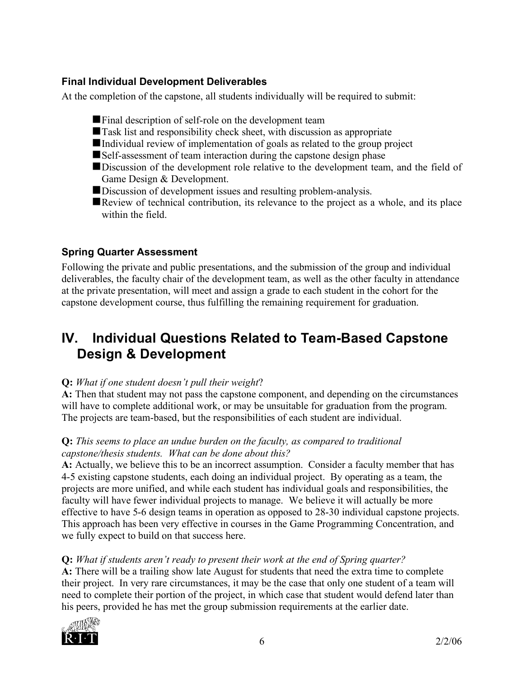#### **Final Individual Development Deliverables**

At the completion of the capstone, all students individually will be required to submit:

- Final description of self-role on the development team
- Task list and responsibility check sheet, with discussion as appropriate
- Individual review of implementation of goals as related to the group project
- Self-assessment of team interaction during the capstone design phase
- Discussion of the development role relative to the development team, and the field of Game Design & Development.
- Discussion of development issues and resulting problem-analysis.
- Review of technical contribution, its relevance to the project as a whole, and its place within the field.

### **Spring Quarter Assessment**

Following the private and public presentations, and the submission of the group and individual deliverables, the faculty chair of the development team, as well as the other faculty in attendance at the private presentation, will meet and assign a grade to each student in the cohort for the capstone development course, thus fulfilling the remaining requirement for graduation.

## **IV. Individual Questions Related to Team-Based Capstone Design & Development**

#### **Q:** *What if one student doesn't pull their weight*?

**A:** Then that student may not pass the capstone component, and depending on the circumstances will have to complete additional work, or may be unsuitable for graduation from the program. The projects are team-based, but the responsibilities of each student are individual.

#### **Q:** *This seems to place an undue burden on the faculty, as compared to traditional capstone/thesis students. What can be done about this?*

**A:** Actually, we believe this to be an incorrect assumption. Consider a faculty member that has 4-5 existing capstone students, each doing an individual project. By operating as a team, the projects are more unified, and while each student has individual goals and responsibilities, the faculty will have fewer individual projects to manage. We believe it will actually be more effective to have 5-6 design teams in operation as opposed to 28-30 individual capstone projects. This approach has been very effective in courses in the Game Programming Concentration, and we fully expect to build on that success here.

### **Q:** *What if students aren't ready to present their work at the end of Spring quarter?*

**A:** There will be a trailing show late August for students that need the extra time to complete their project. In very rare circumstances, it may be the case that only one student of a team will need to complete their portion of the project, in which case that student would defend later than his peers, provided he has met the group submission requirements at the earlier date.